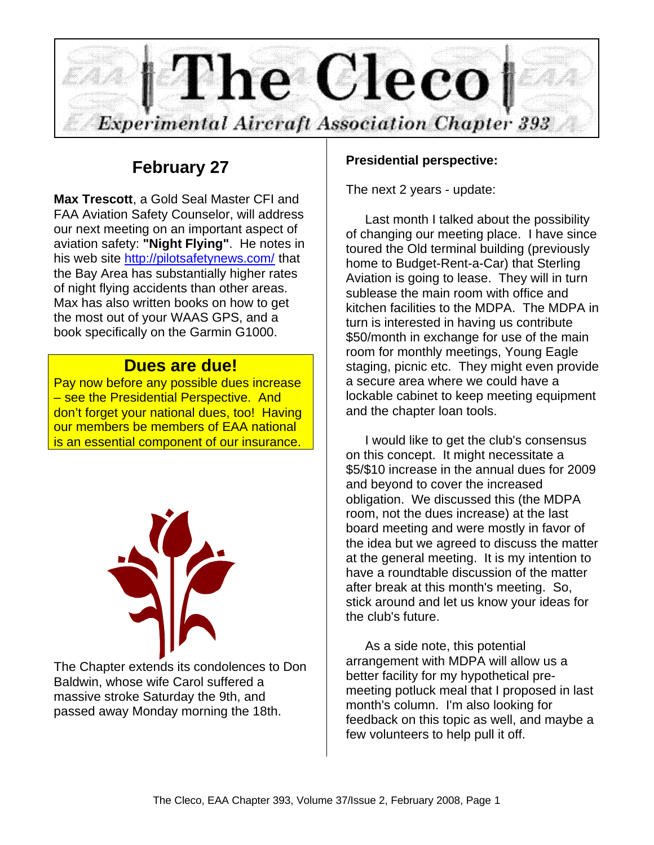

# **February 27**

**Max Trescott**, a Gold Seal Master CFI and FAA Aviation Safety Counselor, will address our next meeting on an important aspect of aviation safety: **"Night Flying"**. He notes in his web site http://pilotsafetynews.com/ that the Bay Area has substantially higher rates of night flying accidents than other areas. Max has also written books on how to get the most out of your WAAS GPS, and a book specifically on the Garmin G1000.

## **Dues are due!**

Pay now before any possible dues increase – see the Presidential Perspective. And don't forget your national dues, too! Having our members be members of EAA national is an essential component of our insurance.



The Chapter extends its condolences to Don Baldwin, whose wife Carol suffered a massive stroke Saturday the 9th, and passed away Monday morning the 18th.

## **Presidential perspective:**

The next 2 years - update:

Last month I talked about the possibility of changing our meeting place. I have since toured the Old terminal building (previously home to Budget-Rent-a-Car) that Sterling Aviation is going to lease. They will in turn sublease the main room with office and kitchen facilities to the MDPA. The MDPA in turn is interested in having us contribute \$50/month in exchange for use of the main room for monthly meetings, Young Eagle staging, picnic etc. They might even provide a secure area where we could have a lockable cabinet to keep meeting equipment and the chapter loan tools.

I would like to get the club's consensus on this concept. It might necessitate a \$5/\$10 increase in the annual dues for 2009 and beyond to cover the increased obligation. We discussed this (the MDPA room, not the dues increase) at the last board meeting and were mostly in favor of the idea but we agreed to discuss the matter at the general meeting. It is my intention to have a roundtable discussion of the matter after break at this month's meeting. So, stick around and let us know your ideas for the club's future.

As a side note, this potential arrangement with MDPA will allow us a better facility for my hypothetical premeeting potluck meal that I proposed in last month's column. I'm also looking for feedback on this topic as well, and maybe a few volunteers to help pull it off.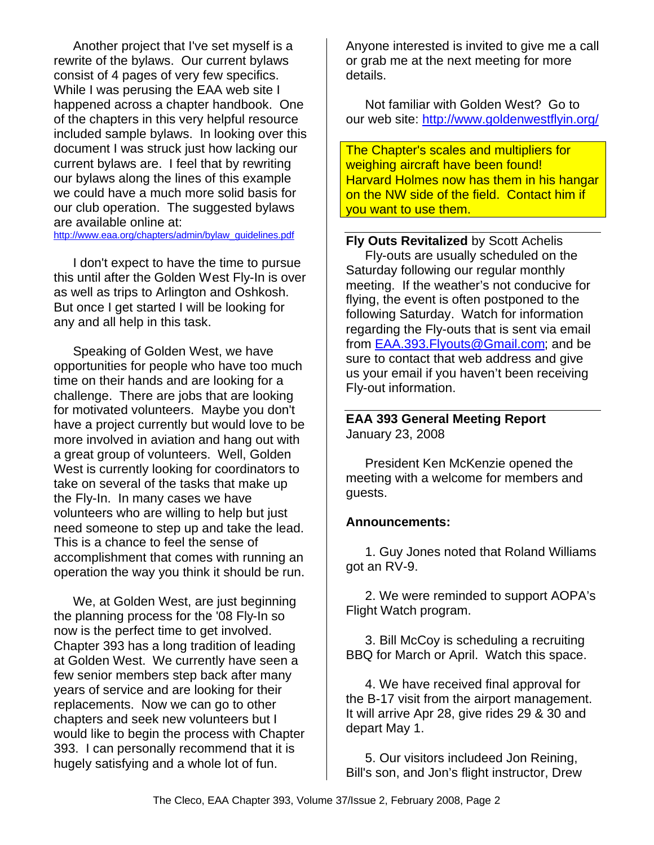Another project that I've set myself is a rewrite of the bylaws. Our current bylaws consist of 4 pages of very few specifics. While I was perusing the EAA web site I happened across a chapter handbook. One of the chapters in this very helpful resource included sample bylaws. In looking over this document I was struck just how lacking our current bylaws are. I feel that by rewriting our bylaws along the lines of this example we could have a much more solid basis for our club operation. The suggested bylaws are available online at:

http://www.eaa.org/chapters/admin/bylaw\_guidelines.pdf

I don't expect to have the time to pursue this until after the Golden West Fly-In is over as well as trips to Arlington and Oshkosh. But once I get started I will be looking for any and all help in this task.

Speaking of Golden West, we have opportunities for people who have too much time on their hands and are looking for a challenge. There are jobs that are looking for motivated volunteers. Maybe you don't have a project currently but would love to be more involved in aviation and hang out with a great group of volunteers. Well, Golden West is currently looking for coordinators to take on several of the tasks that make up the Fly-In. In many cases we have volunteers who are willing to help but just need someone to step up and take the lead. This is a chance to feel the sense of accomplishment that comes with running an operation the way you think it should be run.

We, at Golden West, are just beginning the planning process for the '08 Fly-In so now is the perfect time to get involved. Chapter 393 has a long tradition of leading at Golden West. We currently have seen a few senior members step back after many years of service and are looking for their replacements. Now we can go to other chapters and seek new volunteers but I would like to begin the process with Chapter 393. I can personally recommend that it is hugely satisfying and a whole lot of fun.

Anyone interested is invited to give me a call or grab me at the next meeting for more details.

Not familiar with Golden West? Go to our web site: http://www.goldenwestflyin.org/

The Chapter's scales and multipliers for weighing aircraft have been found! Harvard Holmes now has them in his hangar on the NW side of the field. Contact him if you want to use them.

**Fly Outs Revitalized** by Scott Achelis Fly-outs are usually scheduled on the Saturday following our regular monthly meeting. If the weather's not conducive for flying, the event is often postponed to the following Saturday. Watch for information regarding the Fly-outs that is sent via email from EAA.393.Flyouts@Gmail.com; and be sure to contact that web address and give us your email if you haven't been receiving Fly-out information.

### **EAA 393 General Meeting Report** January 23, 2008

President Ken McKenzie opened the meeting with a welcome for members and guests.

## **Announcements:**

1. Guy Jones noted that Roland Williams got an RV-9.

2. We were reminded to support AOPA's Flight Watch program.

3. Bill McCoy is scheduling a recruiting BBQ for March or April. Watch this space.

4. We have received final approval for the B-17 visit from the airport management. It will arrive Apr 28, give rides 29 & 30 and depart May 1.

5. Our visitors includeed Jon Reining, Bill's son, and Jon's flight instructor, Drew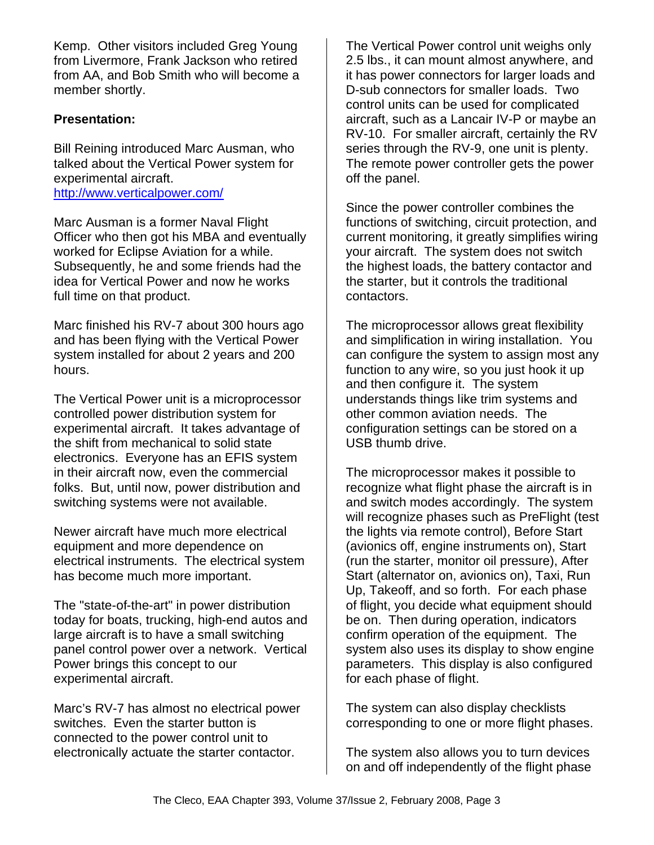Kemp. Other visitors included Greg Young from Livermore, Frank Jackson who retired from AA, and Bob Smith who will become a member shortly.

## **Presentation:**

Bill Reining introduced Marc Ausman, who talked about the Vertical Power system for experimental aircraft. http://www.verticalpower.com/

Marc Ausman is a former Naval Flight Officer who then got his MBA and eventually worked for Eclipse Aviation for a while. Subsequently, he and some friends had the idea for Vertical Power and now he works full time on that product.

Marc finished his RV-7 about 300 hours ago and has been flying with the Vertical Power system installed for about 2 years and 200 hours.

The Vertical Power unit is a microprocessor controlled power distribution system for experimental aircraft. It takes advantage of the shift from mechanical to solid state electronics. Everyone has an EFIS system in their aircraft now, even the commercial folks. But, until now, power distribution and switching systems were not available.

Newer aircraft have much more electrical equipment and more dependence on electrical instruments. The electrical system has become much more important.

The "state-of-the-art" in power distribution today for boats, trucking, high-end autos and large aircraft is to have a small switching panel control power over a network. Vertical Power brings this concept to our experimental aircraft.

Marc's RV-7 has almost no electrical power switches. Even the starter button is connected to the power control unit to electronically actuate the starter contactor.

The Vertical Power control unit weighs only 2.5 lbs., it can mount almost anywhere, and it has power connectors for larger loads and D-sub connectors for smaller loads. Two control units can be used for complicated aircraft, such as a Lancair IV-P or maybe an RV-10. For smaller aircraft, certainly the RV series through the RV-9, one unit is plenty. The remote power controller gets the power off the panel.

Since the power controller combines the functions of switching, circuit protection, and current monitoring, it greatly simplifies wiring your aircraft. The system does not switch the highest loads, the battery contactor and the starter, but it controls the traditional contactors.

The microprocessor allows great flexibility and simplification in wiring installation. You can configure the system to assign most any function to any wire, so you just hook it up and then configure it. The system understands things like trim systems and other common aviation needs. The configuration settings can be stored on a USB thumb drive.

The microprocessor makes it possible to recognize what flight phase the aircraft is in and switch modes accordingly. The system will recognize phases such as PreFlight (test the lights via remote control), Before Start (avionics off, engine instruments on), Start (run the starter, monitor oil pressure), After Start (alternator on, avionics on), Taxi, Run Up, Takeoff, and so forth. For each phase of flight, you decide what equipment should be on. Then during operation, indicators confirm operation of the equipment. The system also uses its display to show engine parameters. This display is also configured for each phase of flight.

The system can also display checklists corresponding to one or more flight phases.

The system also allows you to turn devices on and off independently of the flight phase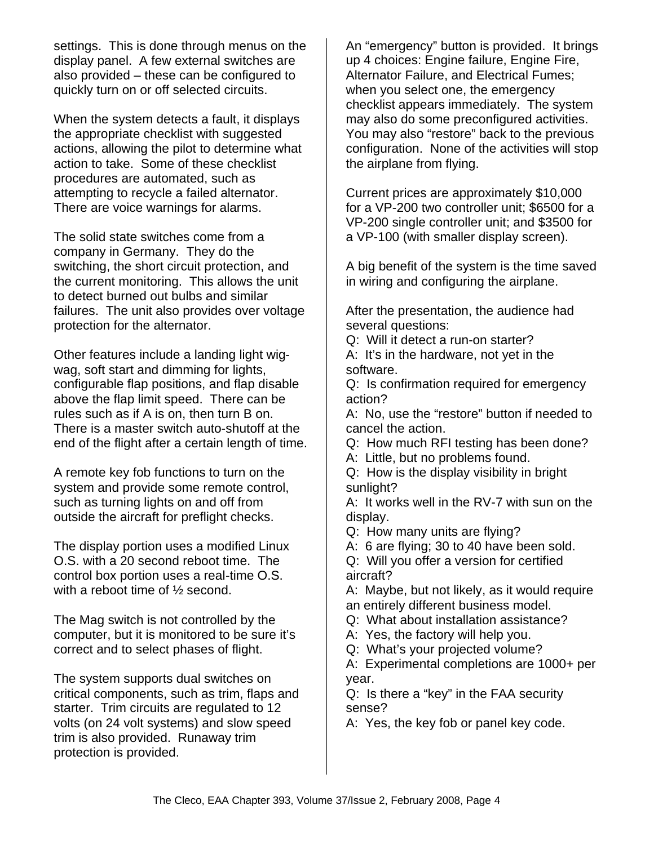settings. This is done through menus on the display panel. A few external switches are also provided – these can be configured to quickly turn on or off selected circuits.

When the system detects a fault, it displays the appropriate checklist with suggested actions, allowing the pilot to determine what action to take. Some of these checklist procedures are automated, such as attempting to recycle a failed alternator. There are voice warnings for alarms.

The solid state switches come from a company in Germany. They do the switching, the short circuit protection, and the current monitoring. This allows the unit to detect burned out bulbs and similar failures. The unit also provides over voltage protection for the alternator.

Other features include a landing light wigwag, soft start and dimming for lights, configurable flap positions, and flap disable above the flap limit speed. There can be rules such as if A is on, then turn B on. There is a master switch auto-shutoff at the end of the flight after a certain length of time.

A remote key fob functions to turn on the system and provide some remote control, such as turning lights on and off from outside the aircraft for preflight checks.

The display portion uses a modified Linux O.S. with a 20 second reboot time. The control box portion uses a real-time O.S. with a reboot time of ½ second.

The Mag switch is not controlled by the computer, but it is monitored to be sure it's correct and to select phases of flight.

The system supports dual switches on critical components, such as trim, flaps and starter. Trim circuits are regulated to 12 volts (on 24 volt systems) and slow speed trim is also provided. Runaway trim protection is provided.

An "emergency" button is provided. It brings up 4 choices: Engine failure, Engine Fire, Alternator Failure, and Electrical Fumes; when you select one, the emergency checklist appears immediately. The system may also do some preconfigured activities. You may also "restore" back to the previous configuration. None of the activities will stop the airplane from flying.

Current prices are approximately \$10,000 for a VP-200 two controller unit; \$6500 for a VP-200 single controller unit; and \$3500 for a VP-100 (with smaller display screen).

A big benefit of the system is the time saved in wiring and configuring the airplane.

After the presentation, the audience had several questions:

Q: Will it detect a run-on starter?

A: It's in the hardware, not yet in the software.

Q: Is confirmation required for emergency action?

A: No, use the "restore" button if needed to cancel the action.

Q: How much RFI testing has been done?

A: Little, but no problems found.

Q: How is the display visibility in bright sunlight?

A: It works well in the RV-7 with sun on the display.

Q: How many units are flying?

A: 6 are flying; 30 to 40 have been sold.

Q: Will you offer a version for certified aircraft?

A: Maybe, but not likely, as it would require an entirely different business model.

Q: What about installation assistance?

A: Yes, the factory will help you.

Q: What's your projected volume?

A: Experimental completions are 1000+ per year.

Q: Is there a "key" in the FAA security sense?

A: Yes, the key fob or panel key code.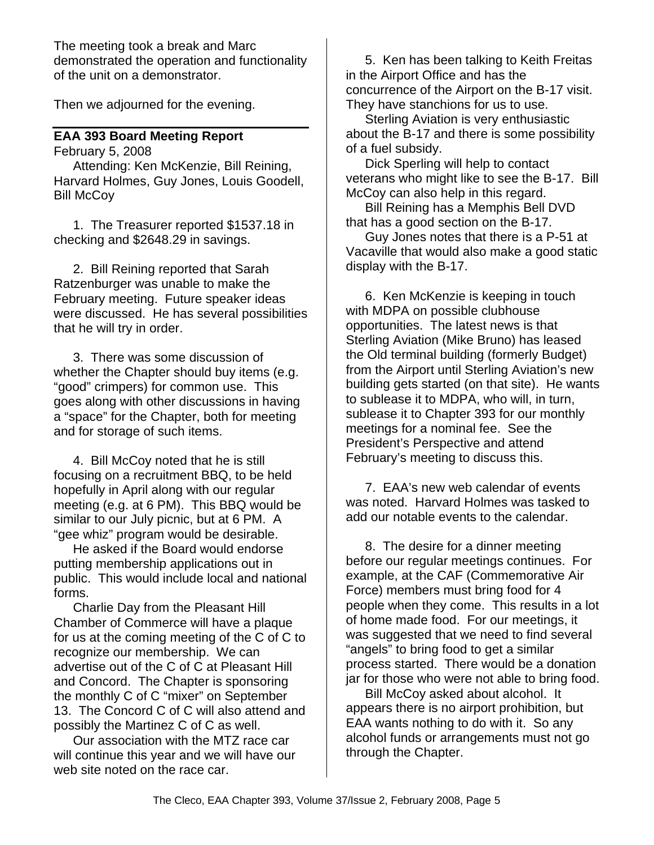The meeting took a break and Marc demonstrated the operation and functionality of the unit on a demonstrator.

Then we adjourned for the evening.

## **EAA 393 Board Meeting Report**

February 5, 2008

Attending: Ken McKenzie, Bill Reining, Harvard Holmes, Guy Jones, Louis Goodell, Bill McCoy

1. The Treasurer reported \$1537.18 in checking and \$2648.29 in savings.

2. Bill Reining reported that Sarah Ratzenburger was unable to make the February meeting. Future speaker ideas were discussed. He has several possibilities that he will try in order.

3. There was some discussion of whether the Chapter should buy items (e.g. "good" crimpers) for common use. This goes along with other discussions in having a "space" for the Chapter, both for meeting and for storage of such items.

4. Bill McCoy noted that he is still focusing on a recruitment BBQ, to be held hopefully in April along with our regular meeting (e.g. at 6 PM). This BBQ would be similar to our July picnic, but at 6 PM. A "gee whiz" program would be desirable.

He asked if the Board would endorse putting membership applications out in public. This would include local and national forms.

Charlie Day from the Pleasant Hill Chamber of Commerce will have a plaque for us at the coming meeting of the C of C to recognize our membership. We can advertise out of the C of C at Pleasant Hill and Concord. The Chapter is sponsoring the monthly C of C "mixer" on September 13. The Concord C of C will also attend and possibly the Martinez C of C as well.

Our association with the MTZ race car will continue this year and we will have our web site noted on the race car.

5. Ken has been talking to Keith Freitas in the Airport Office and has the concurrence of the Airport on the B-17 visit. They have stanchions for us to use.

Sterling Aviation is very enthusiastic about the B-17 and there is some possibility of a fuel subsidy.

Dick Sperling will help to contact veterans who might like to see the B-17. Bill McCoy can also help in this regard.

Bill Reining has a Memphis Bell DVD that has a good section on the B-17.

Guy Jones notes that there is a P-51 at Vacaville that would also make a good static display with the B-17.

6. Ken McKenzie is keeping in touch with MDPA on possible clubhouse opportunities. The latest news is that Sterling Aviation (Mike Bruno) has leased the Old terminal building (formerly Budget) from the Airport until Sterling Aviation's new building gets started (on that site). He wants to sublease it to MDPA, who will, in turn, sublease it to Chapter 393 for our monthly meetings for a nominal fee. See the President's Perspective and attend February's meeting to discuss this.

7. EAA's new web calendar of events was noted. Harvard Holmes was tasked to add our notable events to the calendar.

8. The desire for a dinner meeting before our regular meetings continues. For example, at the CAF (Commemorative Air Force) members must bring food for 4 people when they come. This results in a lot of home made food. For our meetings, it was suggested that we need to find several "angels" to bring food to get a similar process started. There would be a donation jar for those who were not able to bring food.

Bill McCoy asked about alcohol. It appears there is no airport prohibition, but EAA wants nothing to do with it. So any alcohol funds or arrangements must not go through the Chapter.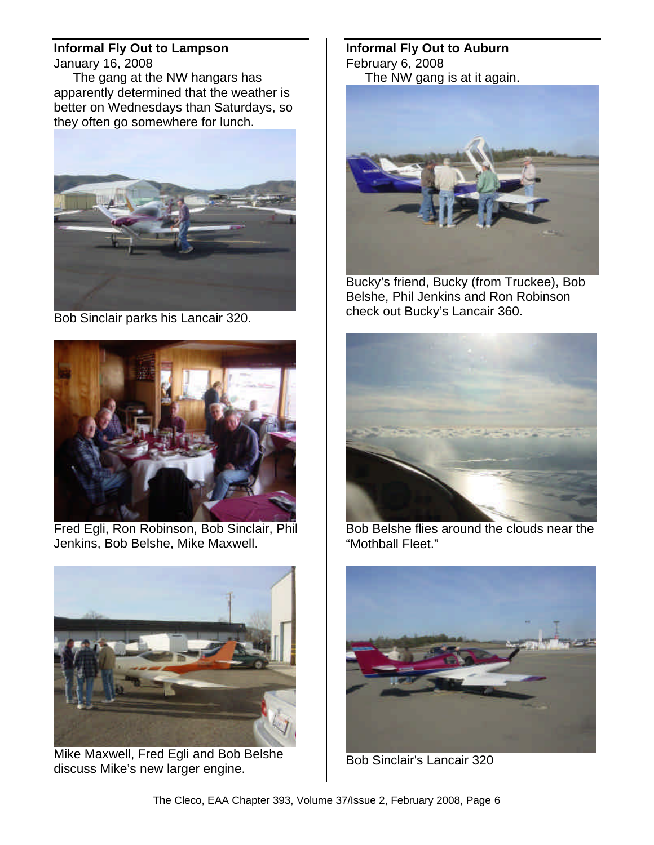## **Informal Fly Out to Lampson**

January 16, 2008

The gang at the NW hangars has apparently determined that the weather is better on Wednesdays than Saturdays, so they often go somewhere for lunch.



Bob Sinclair parks his Lancair 320.



Fred Egli, Ron Robinson, Bob Sinclair, Phil Jenkins, Bob Belshe, Mike Maxwell.



Mike Maxwell, Fred Egli and Bob Belshe discuss Mike's new larger engine.

### **Informal Fly Out to Auburn** February 6, 2008 The NW gang is at it again.



Bucky's friend, Bucky (from Truckee), Bob Belshe, Phil Jenkins and Ron Robinson check out Bucky's Lancair 360.



Bob Belshe flies around the clouds near the "Mothball Fleet."



Bob Sinclair's Lancair 320

The Cleco, EAA Chapter 393, Volume 37/Issue 2, February 2008, Page 6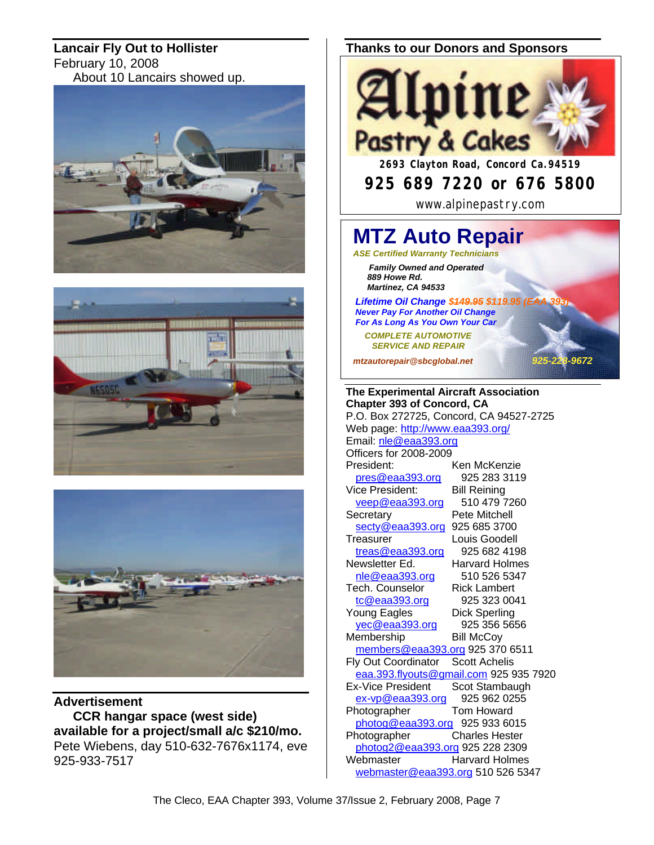**Lancair Fly Out to Hollister** February 10, 2008 About 10 Lancairs showed up.







**Advertisement CCR hangar space (west side) available for a project/small a/c \$210/mo.** Pete Wiebens, day 510-632-7676x1174, eve 925-933-7517

### **Thanks to our Donors and Sponsors**



*mtzautorepair@sbcglobal.net 925-228-9672*

**The Experimental Aircraft Association Chapter 393 of Concord, CA** P.O. Box 272725, Concord, CA 94527-2725 Web page: http://www.eaa393.org/ Email: nle@eaa393.org Officers for 2008-2009 President: Ken McKenzie pres@eaa393.org 925 283 3119 Vice President: Bill Reining<br>
veep@eaa393.org 510 479 7260 veep@eaa393.org Secretary **Pete Mitchell** secty@eaa393.org 925 685 3700 Treasurer Louis Goodell treas@eaa393.org 925 682 4198 Newsletter Ed. Harvard Holmes nle@eaa393.org 510 526 5347 Tech. Counselor Rick Lambert tc@eaa393.org 925 323 0041 Young Eagles Dick Sperling yec@eaa393.org 925 356 5656 Membership Bill McCoy members@eaa393.org 925 370 6511 Fly Out Coordinator Scott Achelis eaa.393.flyouts@gmail.com 925 935 7920 Ex-Vice President Scot Stambaugh ex-vp@eaa393.org 925 962 0255 Photographer Tom Howard photog@eaa393.org 925 933 6015 Photographer Charles Hester photog2@eaa393.org 925 228 2309 Webmaster Harvard Holmes webmaster@eaa393.org 510 526 5347